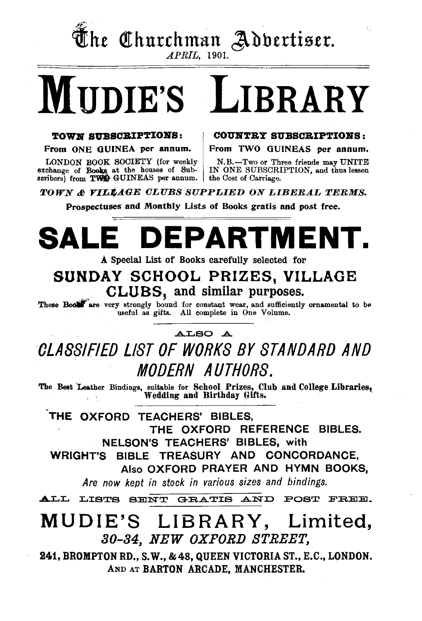

 $\overline{\mathbf{\Phi}}$ he Churchman Adbertiser.

# MUDIE'S LIBRARY

#### TOWN SUBSCRIPTIONS:

From ONE OUINEA per annum.

LONDON BOOK SOCIETY (for weekly exchange of Books at the houses of Sub- IN ONE SUBSCRI scribers) from TWE GUINEAS per annum. the Cost of Carriage.

COUNTRY SUBSCRIPTIONS:

Ŧ.

From TWO OUINEAS per annum.

N.B.-Two or Three friends may UNITE IN ONE SUBSCRIPTION, and thus lessen

TOWN~ *YILJfAGE CLUBS SUPPLIED ON LIBERAL TERMS.* 

Prospectuses and Monthly Lists of Books gratis and post free.

## **SALE DEPARTMENT.**

A Special List of Books carefully selected for

## SUNDAY SCHOOL PRIZES, VILLAGE<br>CLUBS, and similar purposes.

These Book are very strongly bound for constant wear, and sufficiently ornamental to be useful as gifts. All complete in One Volume.

## ALSO A CLASSIFIED LIST OF WORKS BY STANDARD AND MODERN AUTHORS.

The Best Leather Bindings, suitable for School Prizes, Club and College Libraries, . Wedding and Birthday Gifts.

THE OXFORD TEACHERS' BIBLES, THE OXFORD REFERENCE BIBLES. NELSON'S TEACHERS' BIBLES, with WRIGHT'S BIBLE TREASURY AND CONCORDANCE, Also OXFORD PRAYER AND HYMN BOOKS, *Are now kept in stock in various sizes and bindings.* 

ALL LISTS BENT GRATIS AND POST FREE.

## MUDIE'S LIBRARY, Limited, 30-34, NEW OXFORD STREET,

241, BROMPTON RD., S.W., &48, QUEEN VICTORIA ST., E.C., LONDON. AND AT BARTON ARCADE, MANCHESTER.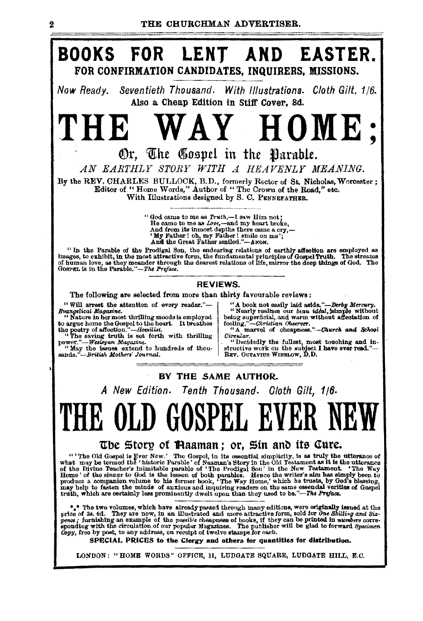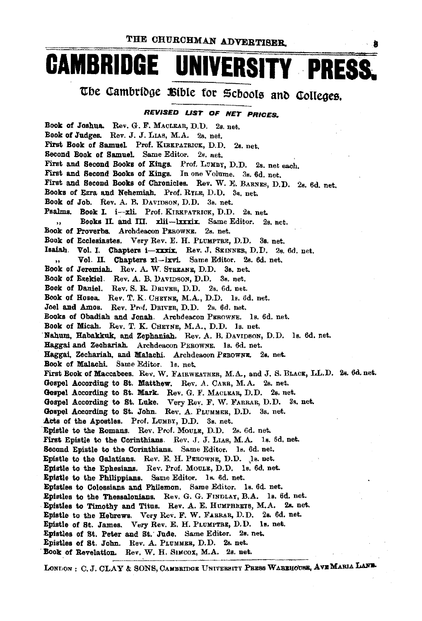## **CAMBRIDGE UNIVERSITY PRESS**

The Cambridge Bible for Schools and Colleges.

#### REVISED LIST OF NET PRICES.

Book of Joshua. Rev. G. F. MACLEAR, D.D. 2s. net. Book of Judges. Rev. J. J. LIAS. M.A. 2s. net. First Book of Samuel Prof. KIBKPATRICK, D.D. 2s. net. Second Book of Samuel. Same Editor. 2s. net. First and Second Books of Kings. Prof. LUMBY, D.D. 2s. net each. First and Second Books of Kings. In one Volume. 3s. 6d. net. First and Second Books of Chronicles. Rev. W. E. BARNES, D.D. 2s. 6d. net. Books of Ezra and Nehemiah. Prof. RYLE, D.D. 3s. net. Book of Job. Rev. A. B. DAVIDSON, D.D. 3s. net. Psalms. Book I. i-xli. Prof. KIRKPATRICK, D.D. 2s. net. Books II. and III. xlii-lxxxix. Same Editor. 2s. net.  $\ddot{\phantom{a}}$ Book of Proverbs. Archdeacon PEROWNE. 2s. net. Book of Ecclesiastes. Very Rev. E. H. PLUMPTRE, D.D. 3s. net. Isaiah. Vol. I. Chapters i-xxxix. Rev. J. SEINNER, D.D. 2s. 6d. net. Vol. II. Chapters xl-Ixvi. Same Editor. 2s. 6d. net.  $\ddot{\phantom{a}}$ Book of Jeremiah. Rev. A. W. STREANE, D.D. 3s. net. Book of Ezekiel. Rev. A. B. DAVIDSON, D.D. 3s. net. Book of Daniel. Rev. S. R. DRIVER, D.D. 2s. 6d. net. Book of Hosea. Rev. T. K. CHEYNE, M.A., D.D. 1s. 6d. net. Joel and Amos. Rev. Prof. DRIVER, D.D. 2s. 6d. net. Books of Obadiah and Jonah. Archdescon PEROWNE. 1s. 6d. net. Book of Micah. Rev. T. K. CHEYNE, M.A., D.D. 1s. net. Nahum, Habakkuk, and Zephaniah. Rev. A. B. DAVIDSON, D.D. 1s. 6d. net. Haggai and Zechariah. Archdeacon PEROWNE. 1s. 6d. net. Haggai Zechariah. and Malachi. Archdeacon PEROWNE. 2s. net. Book of Malachi. Same Editor. 1s. net. First Book of Maccabees. Rev. W. FAIRWEATHER, M.A., and J. S. BLACK, LL.D. 2s. 6d. net. Gospel According to St. Matthew. Rev. A. CARR, M.A. 2s. net. Gospel According to St. Mark. Rev. G. F. MACLEAR, D.D. 2s. net. Gospel According to St. Luke. Very Rev. F. W. FARRAR, D.D. 3s. net. Gospel According to St. John. Rev. A. PLUMMER, D.D. 3s. net. Acts of the Apostles. Prof. LUMBY, D.D. 3s. net. Epistle to the Romans. Rev. Prof. MouLE, D.D. 2s. 6d. net. First Epistle to the Corinthians. Rev. J. J. LIAS, M.A. 1s. 6d. net. Second Epistle to the Corinthians. Same Editor. 1s. 6d. net. Epistle to the Galatians. Rev. E. H. PEROWNE, D.D. Js. net. Epistle to the Ephesians. Rev. Prof. MOULE, D.D. 1s. 6d. net. Epistle to the Philippians. Same Editor. 1s. 6d. net. Epistles to Colossians and Philemon. Same Editor. 1s. 6d. net. Epistles to the Thessalonians. Rev. G. G. FINDLAY, B.A. 1s. 6d. net. Epistles to Timothy and Titus. Rev. A. E. HUMPHRETS, M.A. 2s. net. Epistle to the Hebrews. Very Rev. F. W. FABRAB, D.D. 2s. 6d. net. Epistle of St. James. Very Rev. E. H. PLUMPTRE, D.D. 1s. net. Epistles of St. Peter and St. Jude. Same Editor. 2s. net. Epistles of St. John. Rev. A. PLUMMER, D.D. 2s. net. Book of Revelation. Rev. W. H. SIMCOX, M.A. 2s. net.

LONLON: C. J. CLAY & SONS, CAMBEIDGE UNIVERSITY PRESS WAREHOUSE, AVE MARIA LAND.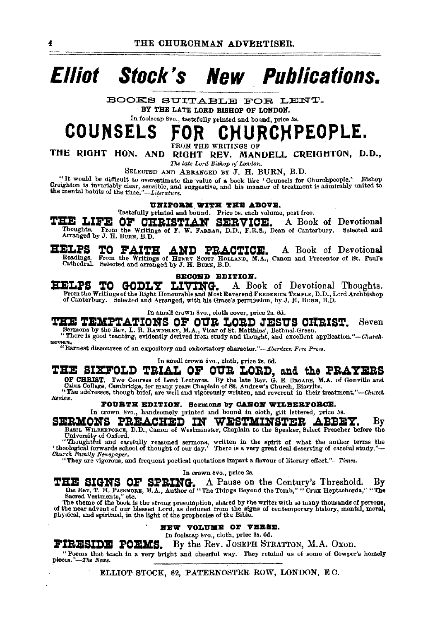## **Elliot Stock's New Publications.**

BOOKS SUITABLE FOR LENT.

BY THE LATE LORD BISHOP OF LONDON.

In foolscap 8vo., tastefully printed and bound, price 5s.

#### COUNSELS CHURCHPEOPLE.

FROM THE WRITINGS OF

THE RIGHT HON. AND RIGHT REV. MANDELL CREIGHTON, D.D.,

The late Lord Bishop of London.

SELECTED AND ARRANGED BY J. H. BURN. B.D.

"It would be difficult to overestimate the value of a book like 'Counsels for Churchpeople.' Bishop Creighton is invariably clear, sensible, and suggestive, and his manner of treatment is admirably united to the mental habits of the time."-Literature.

UNIFORM WITH THE ABOVE.

Tastefully printed and bound. Price 5s. each volume, post free.

THE LIFE OF CHRISTIAN SERVICE. A Book of Devotional Thoughts. From the Writings of F. W. FARRAR, D.D., F.R.S., Dean of Canterbury. Selected and Arranged by J. H. BURN, B.D.

**HELPS** AND PRACTICE. TO FAITH A Book of Devotional Readings. From the Writings of HENRY SCOTT HOLLAND, M.A., Canon and Precentor of St. Paul's Cathedral. Selected and arranged by J. H. BURN, B.D.

#### SECOND EDITION.

HELPS TO GODLY LIVING. A Book of Devotional Thoughts. From the Writings of the Right Honourable and Most Reverend FREDERICK TEMPLE, D.D., Lord Archbishop of Canterbury. Selected and Arranged, with his Grace's permission, by J. H. BURN, B.D.

In small crown 8vo., cloth cover, price 2s. 6d.

THE TEMPTATIONS OF OUR LORD JESUS CHRIST. Seven 

woman.

"Karnest discourses of an expository and exhortatory character."-Aberdeen Free Press.

## In small crown 8vo., cloth, price 2s. 6d.

## THE SIXFOLD TRIAL OF OUR LORD, and the PRAYERS

OF CHRIST. Two Courses of Lent Lectures. By the late Rev. G. E. SROADE, M.A. of Gonville and Caius College, Cambridge, for many years Chaplain of St. Andrew's Church, Biarritz.<br>"The addresses, though brief, are well and vi

Review.

#### FOURTH EDITION. Sermons by CANON WILBERFORCE.

In crown 8vo., handsomely printed and bound in cloth, giit lettered, price 5s. SERMONS PREACHED IN WESTMINSTER ABBEY. Bν

BASIL WILBERFORCE, D.D., Canon of Westminster, Chaplain to the Speaker, Select Preacher before the University of Oxford.

"Thoughtful and carefully reasoned sermons, written in the spirit of what the author terms the<br>"Thought of wards school of thought of our day." There is a very great deal deserving of careful study."--<br>Church Family Newspa

"They are vigorous, and frequent poetical quotations impart a flavour of literary effect."-Times.

In crown 8vo., price 2s.

THE SIGNS OF SPRING. A Pause on the Century's Threshold. By the Rev. T. H. PASSMORE, M.A., Author of "The Things Beyond the Tomb," "Cruz Heptachorda," "The Sacred Vestments," etc.

The theme of the book is the strong presumption, shared by the writer with so many thousands of persons, of the near advent of our blessed Lord, as deduced from the signs of contemporary history, mental, moral, physical, a

#### NEW VOLUME OF VERSE.

In foolscap 8vo., cloth, price 3s. 6d.

By the Rev. JOSEPH STRATTON, M.A. Oxon. FIRESIDE POEMS.

"Poems that teach in a very bright and cheerful way. They remind us of some of Cowper's homely pieces."-The News.

ELLIOT STOCK, 62, PATERNOSTER ROW, LONDON, EC.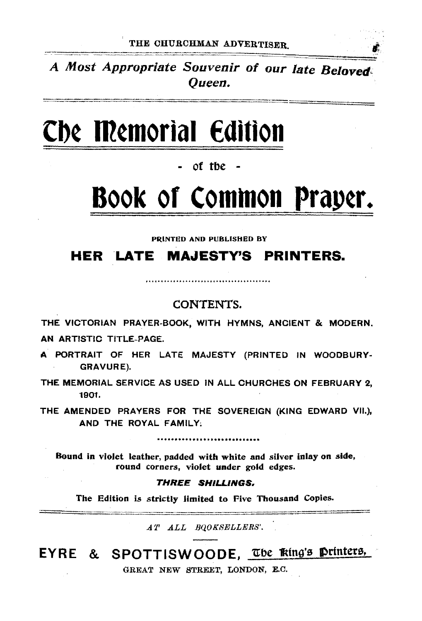A Most Appropriate Souvenir of our late Beloved.: Queen.

## **Cb¢ ffi¢morial €dition**

of the

## **Book or Comtnon Prap¢r.**

PRINTED AND PUBLISHED BY

## **HER LATE MAJESTY'S PRINTERS.**

### CONTENTS.

THE VICTORIAN PRAYER-BOOK, WITH HYMNS, ANCIENT & MODERN. AN ARTISTIC TITLE-PAGE.

A PORTRAIT OF HER LATE MAJESTY (PRINTED IN WOODBURY-GRAVURE).

THE MEMORIAL SERVICE AS USED IN ALL CHURCHES ON FEBRUARY 2, 1901.

THE AMENDED PRAYERS FOR THE SOVEREIGN (KING EDWARD VII.), AND THE ROYAL FAMILY;

,,,,,,,,,,,,,,,,,,,,,,,,,,,,,,,

Bound in violet leather, padded with white and silver inlay on side, round corners, violet under gold edges.

#### THREE SHILLINGS.

The Edition is strictly limited to Five Thousand Copies.

*AT ALL BQOKSFJLLERS'.* 

EYRE & SPOTTISWOODE, The Tring's Printers,

GREAT NEW STREET, LONDON, E.C.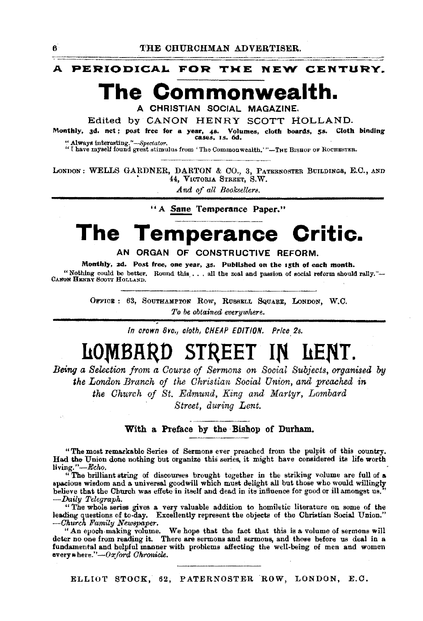A PERIODICAL FOR THE NEW CENTURY.

## The Commonwealth.

A CHRISTIAN SOCIAL MAGAZINE.

Edited by CANON HENRY SCOTT HOLLAND.

Monthly, 3d. net; post free for a year, 4s. Volumes, cloth boards, 5s. Cloth binding cases, Is. 6d. " Always interesting."-Spectator.

"I have myself found great stimulus from 'The Commonwealth.'"-THE BISHOP OF ROCHESTER.

LONDON: WELLS GARDNER, DARTON & CO., 3, PATERNOSTER BUILDINGS, E.C., AND 44, VICTORIA STREET, S.W.

And of all Booksellers.

"A Sane Temperance Paper."

### The Temperance Critic.

AN ORGAN OF CONSTRUCTIVE REFORM.

Monthly, 2d. Post free, one year, 3s. Published on the 15th of each month. "Nothing could be better. Round this ... all the zeal and passion of social reform should rally."-CANON HENRY SCOTT HOLLAND.

> OFFICE: 63, SOUTHAMPTON ROW, RUSSELL SQUARE, LONDON, W.C. To be obtained everywhere.

> > In crown 8vo., cloth, CHEAP EDITION. Price 2s.

### STREET IN LENT. LOMBAR

Being a Selection from a Course of Sermons on Social Subjects, organised by the London Branch of the Christian Social Union, and preached in the Church of St. Edmund, King and Martyr, Lombard Street, during Lent.

#### With a Preface by the Bishop of Durham.

"The most remarkable Series of Sermons ever preached from the pulpit of this country. Had the Union done nothing but organize this series, it might have considered its life worth living."-Echo.

"The brilliant string of discourses brought together in the striking volume are full of a spacious wisdom and a universal goodwill which must delight all but those who would willingly believe that the Church was effete in itself and dead in its influence for good or ill amongst us. -Daily Telegraph.

"The whole series gives a very valuable addition to homiletic literature on some of the leading questions of to-day. Excellently represent the objects of the Christian Social Union." -Church Family Newspaper.

"An epoch making volume. We hope that the fact that this is a volume of sermons will deter no one from reading it. There are sermons and sermons, and those before us deal in a fundamental and helpful manner with problems affecting the well-being of men and women every where."- $0x$  ford Chronicle.

ELLIOT STOCK, 62, PATERNOSTER ROW, LONDON, E.C.

 $\mathbf{6}$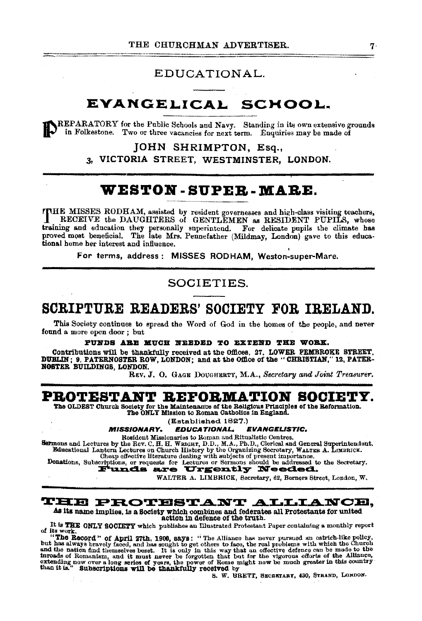### EDUCATIONAL.

## EVANGELICAL SCHOOL.

REPARATORY for the Public Schools and Navy. Standing in its own extensive grounds in Folkestone. Two or three vacancies for next term. Enquiries may be made of

JOHN SHRIMPTON, Esq.,

3. VICTORIA STREET. WESTMINSTER. LONDON.

## **WESTON-SUPER-MARE.**

THE MISSES RODHAM, assisted by resident governesses and high-class visiting teachers, RECEIVE the DAUGHTERS of GENTLEMEN as RESIDENT PUPILS, whose training and education they personally superintend. For delicate pupils the climate has proved most beneficial. The late Mrs. Pennefather (Mildmay, London) gave to this educational home her interest and influence.

For terms, address: MISSES RODHAM. Weston-super-Mare.

### SOCIETIES.

## SCRIPTURE READERS' SOCIETY FOR IRELAND.

This Society continues to spread the Word of God in the homes of the people, and never found a more open door; but

PUNDS ARE MUCH NEEDED TO EXTEND THE WORK.

Contributions will be thankfully received at the Offices, 27, LOWER PEMBROKE STREET, DUBLIN; 9, PATERNOSTER ROW, LONDON; and at the Office of the "CHRISTIAN," 12, PATER-NOSTER BUILDINGS, LONDON.

REV. J. O. GAGE DOUGHERTY, M.A., Secretary and Joint Treasurer.

### **PROTESTANT REFORMATION SOCIETY.**

The OLDEST Church Society for the Maintenance of the Religious Principles of the Reformation. The ONLY Mission to Roman Catholics in England.

(Established 1827.)

**EDUCATIONAL. MISSIONARY.** EVANGELISTIC.

Beddent Missionaries to Roman and Ritualistic Centres.<br>
Beddent Missionaries to Roman and Ritualistic Centres.<br>
Educational Lantern Lectures on Church History by the Organizing Secretary, WALTER A. LIMBRICK.<br>
Donations, Su

WALTER A. LIMBRICK, Secretary, 62, Berners Street, London, W.

### **THE PROTESTANT ALLIANCE,**

As its name implies, is a Society which combines and federates all Protestants for united action in defence of the truth.

It is THE ONLY SOCIETY which publishes an Illustrated Protestant Paper containing a monthly report of its work.

of its work. "The Record," of April 27th, 1900, says: "The Alliance has never pursued an ostrich-like policy,<br>but has always bravely faced, and has sought to get others to face, the real problems with which the Church<br>but

S. W. BRETT, SECRETARY, 430, STRAND, LONDON.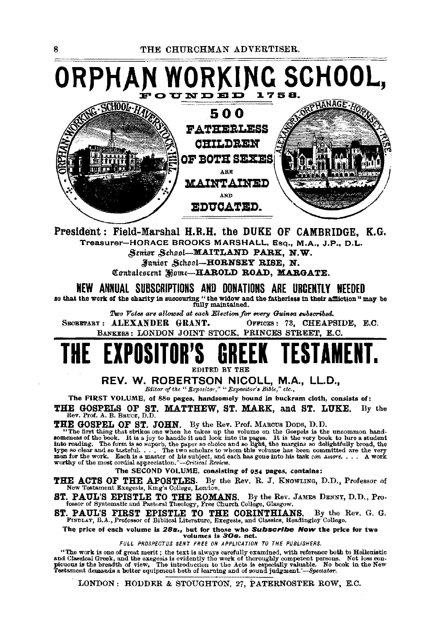### ING SCHOOL, ORPHA UNDED 17 ORPHANAGE . HO **SCHOOL 7** 500 **FATHERLESS CHILDREN OF BOTH SEXES** ARE **MAINTAINED** AND **EDUCATED.**

President: Field-Marshal H.R.H. the DUKE OF CAMBRIDGE, K.G. Treasurer-HORACE BROOKS MARSHALL, Esq., M.A., J.P., D.L. Senior School-MAITLAND PARK, N.W.

Junior School-HORNSEY RISE, N. Contalescent Home-HAROLD ROAD, MARGATE.

NEW ANNUAL SUBSCRIPTIONS AND DONATIONS ARE URGENTLY NEEDED

so that the work of the charity in succouring "the widow and the fatherless in their affliction" may be fully maintained.

Two Votes are allowed at each Election for every Guinea subscribed.

SECRETARY: ALEXANDER GRANT. OFFICES: 73, CHEAPSIDE, E.C. BANKERS: LONDON JOINT STOCK, PRINCES STREET, E.C.

## THE EXPOSI EDITED BY THE

REV. W. ROBERTSON NICOLL, M.A., LL.D., Editor of the " Expositor," " Expositor's Bible," etc.,

The FIRST VOLUME, of 880 pages, handsomely bound in buckram cloth, consists of: THE GOSPELS OF ST. MATTHEW, ST. MARK, and ST. LUKE.<br>Rev. Prof. A. B. Bauce, D.D.  $\mathbf{B}\mathbf{v}$  the

THE GOSPEL OF ST. JOHN. By the Rev. Prof. MARCUS DODS, D.D.<br>"The first thing that strikes one when he takes up the volume on the Gospels is the uncommon hand-<br>somences of the book. It is a joy to handle it and look into it

The SECOND VOLUME, consisting of 954 pages, contains:

THE ACTS OF THE APOSTLES. By the Rev. R. J. KNOWLING, D.D., Professor of New Testament Exegesis, King's College, London.

ST. PAUL'S EPISTLE TO THE ROMANS. By the Rev. . fessor of Systematic and Pastoral Theology, Free Church College, Glasgow. By the Rev. JAMES DENNY, D.D., Pro-

ST. PAUL'S FIRST EPISTLE TO THE CORINTHIANS. By the I FINDLAY, B.A., Professor of Biblical Literature, Exegesis, and Classics, Headingley Collego. By the Rev. G. G.

The price of each volume is 28s., but for those who Subscribe Now the price for two volumes is 30s. net.

FULL PROSPECTUS SENT FREE ON APPLICATION TO THE PUBLISHERS.

"The work is one of great merit; the text is always carefully examined, with reference both to Hellenistic and Chassical Greek, and the excessive secondary the work of thoroughly competent persons. Not less con-<br>picuous is the breadth of view. The introduction to the Acts is especially valuable. No book in the New<br>Testament dem

LONDON: HODDER & STOUGHTON, 27, PATERNOSTER ROW, E.C.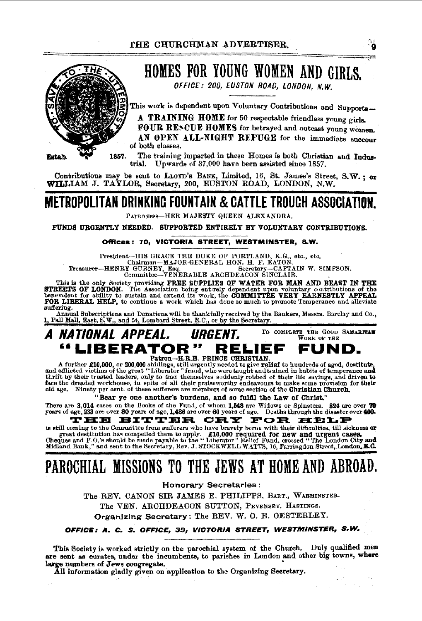

## HOMES FOR YOUNG WOMEN AND GIRLS.

OFFICE: 200, EUSTON ROAD, LONDON, N.W.

This work is dependent upon Voluntary Contributions and Supports-

A TRAINING HOME for 50 respectable friendless young girls.

FOUR RENCUE HOMES for betrayed and outcast young women.

AN OPEN ALL·NIGHT REFUGE for the immediate succour of both classes.

1857. The training imparted in these Homes is both Christian and Industrial. Upwards of 37,000 have been assisted sinoe 1857.

Contributions may be sent to LLOYD's BANK, Limited, 16, St. James's Street, S.W.; or WILLIAM J. TAYLOR, Secretary, 200, EUSTON ROAD, LONDON, N.W.

## METROPOLITAN DRINKING FOUNTAIN & CATTLE TROUGH ASSOCIATION.

PATRONESS-HER MAJESTY QUEEN ALEXANDRA.

FUNDS URGENTLY NEEDED. SUPPORTED ENTIRELY BY VOLUNTARY CONTRIBUTIONS.

#### Offices; 70, VICTORIA STREET, WESTMINSTER, S.W.

President-HIS GRACE THE DUKE OF PORTI,AND, K.G., ete., etc. Cha!rman-MA.JOR·GENERAL RON. H. F. EATON. Treasurer-HENRY GURNEY, Esq. Secretary-CAPTAIN W. SIMPSON. Committee-VENERABLE ARCHDEACON SINCLAIR.

This is the only Society providing FREE SUPPLIES OF WATER FOR MAN AND BEAST IN THE STREETS OF LONDON. The Association being entirely dependent upon voluntary contributions of the CHANGER DERICAL benevolent for ability to s suffering.

Annual Subscriptions and Donations will be thankfully received by the Bankers, Messrs. Barclay and Co., , Pall Mall. East,  $S, W,$ , and 54. Lombard Street, E.C., or by the Secretary.



A further £10,000, or 200,000 shillings, still urgently needed to give relief to hundreds of aged, destitute, and afflicted victims of the great "Liberator" fraud, who were taught and t•alned in habits of temperance and tkrift by their trusted leaders, only to find themselves suddenly robbed of their life savings, and driven to face the dreaded workhouse, in spite of all their praiseworthy endeavours to make some provision for their old age. Ninety per cent. of these sufferers are members of some section of the Christian Church.

"Bear ye one another's burdens, and so fulfil the Law of Christ."

There are 3,014 cases on the Books of the Fund, of whom 1,548 are Widows or Spinsters. 824 are over 70<br>years of age, 233 are over 80 years of age, 1,486 are over 60 years of age. Deaths through the disaster over 400.

years of age, 233 are over 80 years of age, 1,486 are over 60 years of age. Deaths through the disaster over 400.<br>
"The The The The The The The Committee from sufference who have bravely beree with their difficulties, til

## PAROCHIAL MISSIONS TO THE JEWS AT HOME AND ABROAD.

Honorary Secretaries :

The REV. CANON SIR JAMES E. PHILIPPS, BART., WARMINSTER.

The YEN. ARCHDEACON SUTTON, PEVENSEY, HAsTINGS.

Organizing Secretary: The REV. W. 0. E. OESTERLEY.

#### OFFICE 1 A. C. S. OFFICE, *as,* VICTORIA STREET, WESTMINSTER, S. W.

This Society is worked strictly on tbe parochial system of the Chureh. Duly qualified men are sent as curates, under the incumbents, to parishes in London and other big towns, where large numbers of Jews congregate.

All information gladly given on application to the Organizing Secretary.

ျ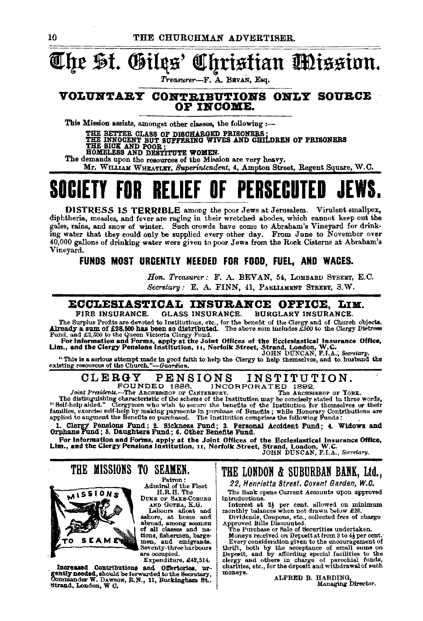## The St. Giles' Christian Mission.

*'l'rea.8Urer-F.* A. BBvAN, Esq.

#### VOLUNTARY CONTRIBUTIONS ONLY SOURCE OP IB'COME.

This Mission assists, amongst other classes, the following :---

THE BETTER CLASS OF DISCHARGED PRISONERS :<br>THE INNOCENT BUT SUFFERING WIVES AND CHILDREN OF PRISONERS<br>THE SICK AND POOR ;<br>HOMELESS AND DESTITUTE WOMEN.

The demands upon the resources of the Mission are very heavy.

Mr. WILLIAM WHEATLEY, *Buperintendem,* 4, Ampton Street, Regent Square, W.O.

## **SOCIETY FOR RELIEF OF PERSECUTED**

DISTRESS 1S TERRIBLE among the poor Jews at Jerusalem. Virulent smallpox, diphtheria, measles, and fever are raging in their wretched abodes, which cannot keep out the gales, rains, and snow of winter. Such crowds have come to Abraham's Vineyard for drinking water that they could only be supplied every other day. From June to November over 40,000 gallons of drinking water were given to p Vineyard.

### FUNDS MOST URGENTLY NEEDED FOR FOOD, FUEL, AND WAGES.

Hon. Treasurer: F. A. BEVAN, 54, LOMBARD STREET, E.C. Secretary: E. A. FINN, 41, PARLIAMENT STREET, S.W.

#### **ECCLESIASTICAL INSURANCE OFFICE, LIM.**<br>FIRE INSURANCE. GLASS INSURANCE. BURGLARY INSURANCE. GLASS INSURANCE. BURGLARY INSURANCE.

The Surplus Profits are devoted to Institutions, ete., for the benefit of the Clergy and of Church objects.

Already a sum of £28,500 has been so distributed. The above sum includes £500 to the Clergy Distress<br>Fund, and £2,500 to the Queen Victoria Clergy Fund.<br>For Information and Forms, apply at the Joint Offices of the Ecclesia

"This is a serious attempt made in good faith to help the Clergy to help themselves, and to husband the existing resources of the Church."-Guardian.

## CLERGY PENSIONS INSTITUTION.<br>FOUNDED 1886. INCORPORATED 1892.<br>Int Presidents...-The Archaeostop or Canterbury. The Archaeostop or York.

Joint Presidents......The ARCHINGTON OR TO A TED 1892.<br>Joint Presidents.......The ARCHINGTON OF CANTERDING CONTRATTED 1892.<br>The ARCHINGTON CONDUCTION TO A SCHAIN THE SECTION of the SCHAIN SCHAIN SCHAIN SCHAIN SCHAIN SCHAIN families, exercise self-help by making payments in purchase of Benefits; while Honorary Contributions are applied to augment the Benefits so purchased. The Institution comprises the following Funds:

1. Clergy Pensions Fund; 2. Sickness Fund; 3. Personal Accident Fund; 4. Widows and<br>Orphans Fund; 5. Daughters Fund; 6. Other Benefits Fund.

For information and Forms, apply at the Joint Offices of the Ecclesiastical Insurance Office,<br>Lim., and the Clergy Pensions Institution, 11, Norfolk Street, Strand, London, W.C.<br>JOHN DUNCAN, F.I.A., Secretary.

THE MISSIONS TO SEAMEN.



Patron:<br>Admiral of the Fleet<br>H.R.H. The DUKE OF SAXE-COBURG

AND GoTHA, K.G.

Labours afloat and ashore, at home and abroad, among seamen bord all classes and na-<br>tiona, fishermen, barge-<br>men, and emigrants. men, and emigrants.<br>Seventy-three harbours<br>are occupied.

·Expenditure, £42,514.

Increased Contributions and Offertories, urgently needed, should be forwarded to the Secretary, Ommander W. DAwson, R.N., 11, Buckingham St... tltrand, London, W c.

THE LONDON & SUBURBAN BANK, Ltd.,

22, Henrietta Street, Covent Garden, W.C.

The Bank opens Current Accounts upon approved introductions. introductions.<br>Interest at 2<sup>1</sup> per cent. allowed on minimum

monthly balances when not drawn below £20.<br>Dividends, Coupons, etc., collected free of charge<br>Approved Bills Discounted.<br>The Purchase or Sale of Securities undertaken.

Moneys received on Deposit at from 3 to 4] per cent. Every consideration given to the encouragement of thrift, both by the acceptance of small sums on thrift, both by the acceptance of small sums on Deposit, and by affording special facilities to the deposite and which funds, charities, etc., for the deposit and withdrawal of such moneys. ALFRED B. HARDING,

Managing Director.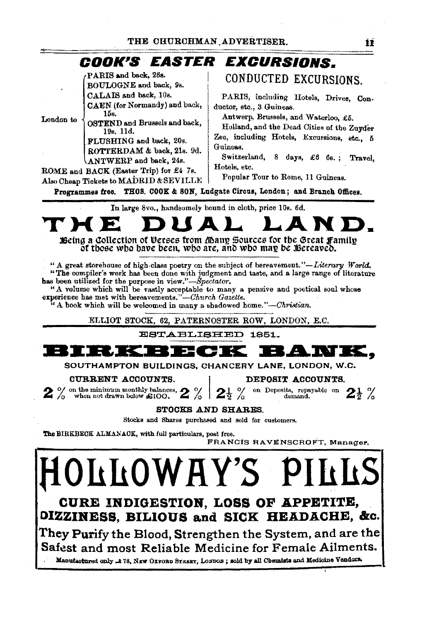